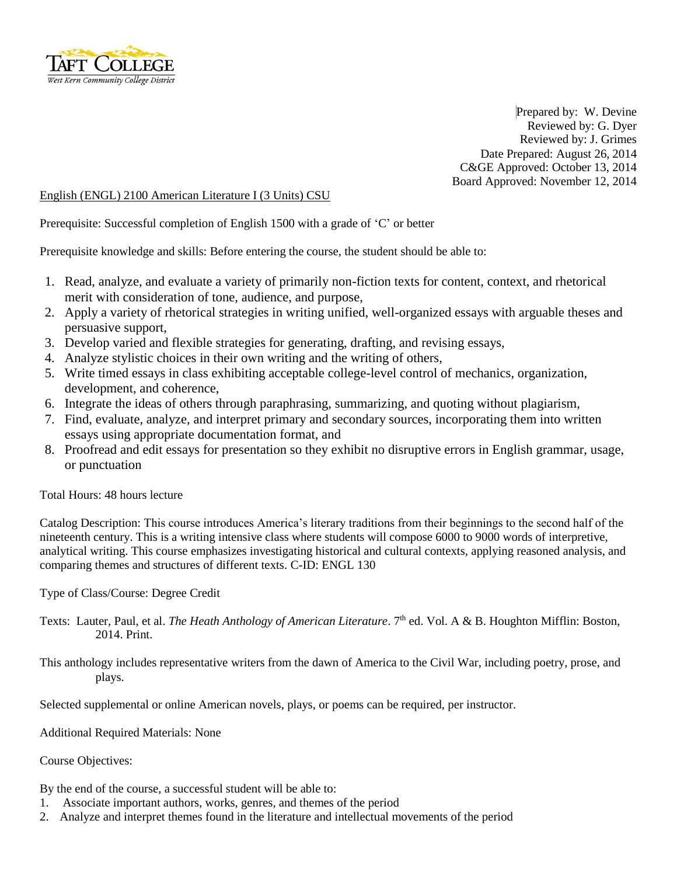

Prepared by: W. Devine Reviewed by: G. Dyer Reviewed by: J. Grimes Date Prepared: August 26, 2014 C&GE Approved: October 13, 2014 Board Approved: November 12, 2014

## English (ENGL) 2100 American Literature I (3 Units) CSU

Prerequisite: Successful completion of English 1500 with a grade of 'C' or better

Prerequisite knowledge and skills: Before entering the course, the student should be able to:

- 1. Read, analyze, and evaluate a variety of primarily non-fiction texts for content, context, and rhetorical merit with consideration of tone, audience, and purpose,
- 2. Apply a variety of rhetorical strategies in writing unified, well-organized essays with arguable theses and persuasive support,
- 3. Develop varied and flexible strategies for generating, drafting, and revising essays,
- 4. Analyze stylistic choices in their own writing and the writing of others,
- 5. Write timed essays in class exhibiting acceptable college-level control of mechanics, organization, development, and coherence,
- 6. Integrate the ideas of others through paraphrasing, summarizing, and quoting without plagiarism,
- 7. Find, evaluate, analyze, and interpret primary and secondary sources, incorporating them into written essays using appropriate documentation format, and
- 8. Proofread and edit essays for presentation so they exhibit no disruptive errors in English grammar, usage, or punctuation

Total Hours: 48 hours lecture

Catalog Description: This course introduces America's literary traditions from their beginnings to the second half of the nineteenth century. This is a writing intensive class where students will compose 6000 to 9000 words of interpretive, analytical writing. This course emphasizes investigating historical and cultural contexts, applying reasoned analysis, and comparing themes and structures of different texts. C-ID: ENGL 130

Type of Class/Course: Degree Credit

- Texts: Lauter, Paul, et al. *The Heath Anthology of American Literature*. 7 th ed. Vol. A & B. Houghton Mifflin: Boston, 2014. Print.
- This anthology includes representative writers from the dawn of America to the Civil War, including poetry, prose, and plays.

Selected supplemental or online American novels, plays, or poems can be required, per instructor.

Additional Required Materials: None

Course Objectives:

By the end of the course, a successful student will be able to:

- 1. Associate important authors, works, genres, and themes of the period
- 2. Analyze and interpret themes found in the literature and intellectual movements of the period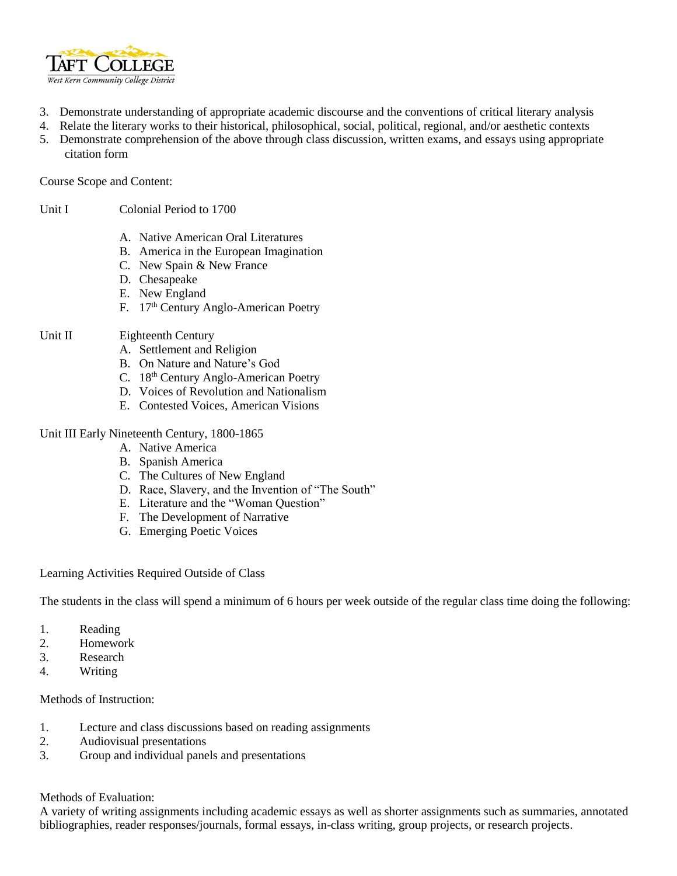

- 3. Demonstrate understanding of appropriate academic discourse and the conventions of critical literary analysis
- 4. Relate the literary works to their historical, philosophical, social, political, regional, and/or aesthetic contexts
- 5. Demonstrate comprehension of the above through class discussion, written exams, and essays using appropriate citation form

Course Scope and Content:

Unit I Colonial Period to 1700

- A. Native American Oral Literatures
- B. America in the European Imagination
- C. New Spain & New France
- D. Chesapeake
- E. New England
- F. 17<sup>th</sup> Century Anglo-American Poetry

## Unit II Eighteenth Century

- A. Settlement and Religion
- B. On Nature and Nature's God
- C. 18<sup>th</sup> Century Anglo-American Poetry
- D. Voices of Revolution and Nationalism
- E. Contested Voices, American Visions

### Unit III Early Nineteenth Century, 1800-1865

- A. Native America
- B. Spanish America
- C. The Cultures of New England
- D. Race, Slavery, and the Invention of "The South"
- E. Literature and the "Woman Question"
- F. The Development of Narrative
- G. Emerging Poetic Voices

#### Learning Activities Required Outside of Class

The students in the class will spend a minimum of 6 hours per week outside of the regular class time doing the following:

- 1. Reading
- 2. Homework
- 3. Research
- 4. Writing

## Methods of Instruction:

- 1. Lecture and class discussions based on reading assignments
- 2. Audiovisual presentations
- 3. Group and individual panels and presentations

Methods of Evaluation:

A variety of writing assignments including academic essays as well as shorter assignments such as summaries, annotated bibliographies, reader responses/journals, formal essays, in-class writing, group projects, or research projects.